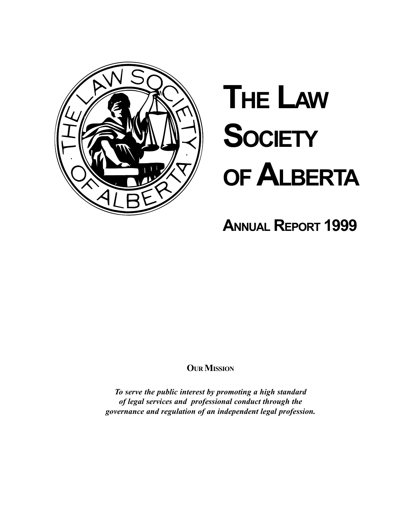

# **THE LAW SOCIETY** OF ALBERTA

**ANNUAL REPORT 1999** 

### **OUR MISSION**

To serve the public interest by promoting a high standard of legal services and professional conduct through the governance and regulation of an independent legal profession.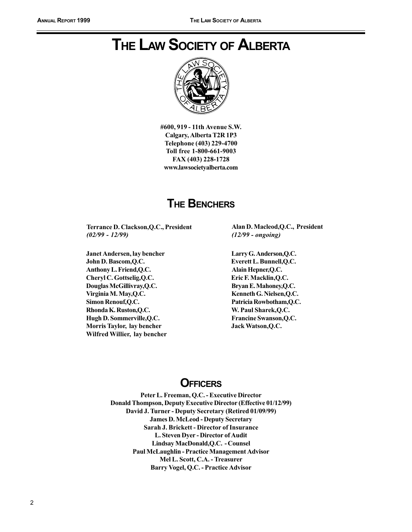### **THE LAW SOCIETY OF ALBERTA**



#600, 919 - 11th Avenue S.W. Calgary, Alberta T2R 1P3 Telephone (403) 229-4700 Toll free 1-800-661-9003 FAX (403) 228-1728 www.lawsocietyalberta.com

### **THE BENCHERS**

Terrance D. Clackson, Q.C., President  $(02/99 - 12/99)$ 

Janet Andersen, lay bencher John D. Bascom, Q.C. Anthony L. Friend, Q.C. Cheryl C. Gottselig, Q.C. Douglas McGillivray, Q.C. Virginia M. May, Q.C. Simon Renouf, Q.C. Rhonda K. Ruston, Q.C. Hugh D. Sommerville, Q.C. Morris Taylor, lay bencher Wilfred Willier, lay bencher Alan D. Macleod, O.C., President  $(12/99 - ongoing)$ 

Larry G. Anderson, Q.C. Everett L. Bunnell, Q.C. Alain Hepner, Q.C. Eric F. Macklin, Q.C. Bryan E. Mahoney, Q.C. Kenneth G. Nielsen, Q.C. Patricia Rowbotham, Q.C. W. Paul Sharek, Q.C. Francine Swanson, Q.C. Jack Watson, Q.C.

### **OFFICERS**

Peter L. Freeman, Q.C. - Executive Director Donald Thompson, Deputy Executive Director (Effective 01/12/99) David J. Turner - Deputy Secretary (Retired 01/09/99) **James D. McLeod - Deputy Secretary** Sarah J. Brickett - Director of Insurance L. Steven Dyer - Director of Audit Lindsay MacDonald, Q.C. - Counsel Paul McLaughlin - Practice Management Advisor Mel L. Scott, C.A. - Treasurer Barry Vogel, Q.C. - Practice Advisor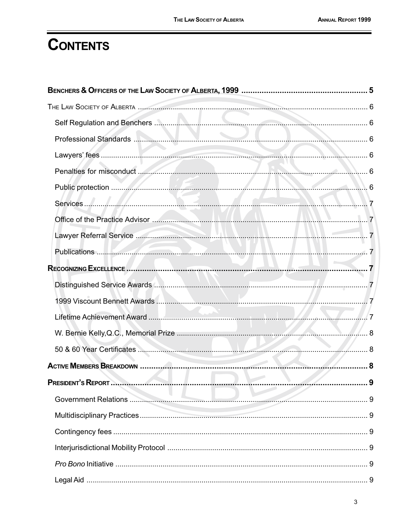### **CONTENTS**

| Public protection <b>Executive Contract of Contract Contract Contract Contract Contract Contract Contract Contract Contract Contract Contract Contract Contract Contract Contract Contract Contract Contract Contract Contract C</b> |  |
|--------------------------------------------------------------------------------------------------------------------------------------------------------------------------------------------------------------------------------------|--|
|                                                                                                                                                                                                                                      |  |
|                                                                                                                                                                                                                                      |  |
|                                                                                                                                                                                                                                      |  |
|                                                                                                                                                                                                                                      |  |
|                                                                                                                                                                                                                                      |  |
|                                                                                                                                                                                                                                      |  |
|                                                                                                                                                                                                                                      |  |
|                                                                                                                                                                                                                                      |  |
|                                                                                                                                                                                                                                      |  |
|                                                                                                                                                                                                                                      |  |
|                                                                                                                                                                                                                                      |  |
| <b>Service</b>                                                                                                                                                                                                                       |  |
|                                                                                                                                                                                                                                      |  |
|                                                                                                                                                                                                                                      |  |
|                                                                                                                                                                                                                                      |  |
|                                                                                                                                                                                                                                      |  |
|                                                                                                                                                                                                                                      |  |
|                                                                                                                                                                                                                                      |  |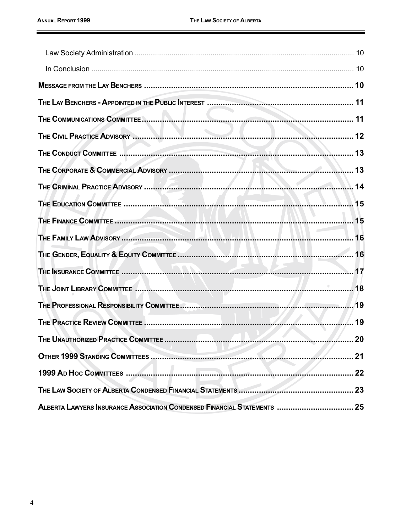|                                                                          | ……… 21 |
|--------------------------------------------------------------------------|--------|
|                                                                          |        |
|                                                                          |        |
| ALBERTA LAWYERS INSURANCE ASSOCIATION CONDENSED FINANCIAL STATEMENTS  25 |        |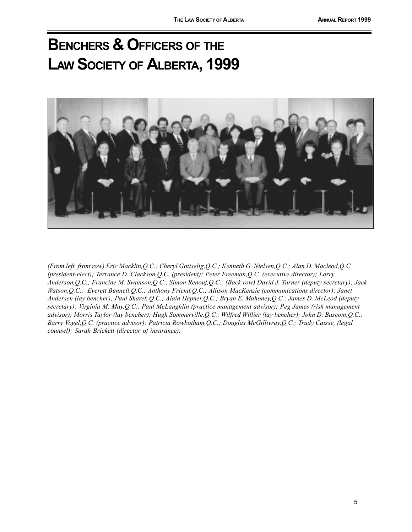# **BENCHERS & OFFICERS OF THE** LAW SOCIETY OF ALBERTA, 1999



(From left, front row) Eric Macklin, Q.C.; Cheryl Gottselig, Q.C.; Kenneth G. Nielsen, Q.C.; Alan D. Macleod, Q.C. (president-elect); Terrance D. Clackson, Q.C. (president); Peter Freeman, Q.C. (executive director); Larry Anderson, Q.C.; Francine M. Swanson, Q.C.; Simon Renouf, Q.C.; (Back row) David J. Turner (deputy secretary); Jack Watson, Q.C.; Everett Bunnell, Q.C.; Anthony Friend, Q.C.; Allison MacKenzie (communications director); Janet Andersen (lay bencher); Paul Sharek, Q.C.; Alain Hepner, Q.C.; Bryan E. Mahoney, Q.C.; James D. McLeod (deputy secretary); Virginia M. May, Q.C.; Paul McLaughlin (practice management advisor); Peg James (risk management advisor); Morris Taylor (lay bencher); Hugh Sommerville, Q.C.; Wilfred Willier (lay bencher); John D. Bascom, Q.C.; Barry Vogel, Q.C. (practice advisor); Patricia Rowbotham, Q.C.; Douglas McGillivray, Q.C.; Trudy Caisse, (legal counsel); Sarah Brickett (director of insurance).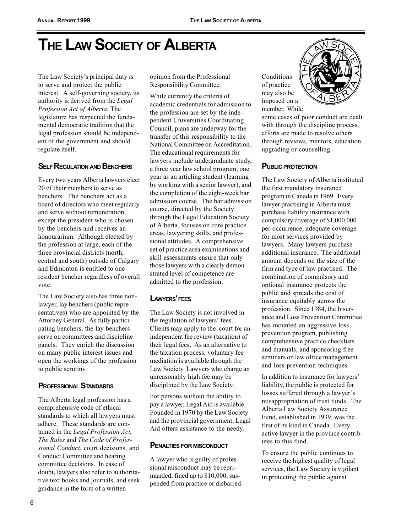# THE LAW SOCIETY OF ALBERTA

The Law Society's principal duty is to serve and protect the public interest. A self-governing society, its authority is derived from the Legal Profession Act of Alberta. The legislature has respected the fundamental democratic tradition that the legal profession should be independent of the government and should regulate itself.

#### **SELF REGULATION AND BENCHERS**

Every two years Alberta lawyers elect 20 of their members to serve as benchers. The benchers act as a board of directors who meet regularly and serve without remuneration, except the president who is chosen by the benchers and receives an honourarium. Although elected by the profession at large, each of the three provincial districts (north, central and south) outside of Calgary and Edmonton is entitled to one resident bencher regardless of overall vote.

The Law Society also has three nonlawyer, lay benchers (public representatives) who are appointed by the Attorney General. As fully participating benchers, the lay benchers serve on committees and discipline panels. They enrich the discussion on many public interest issues and open the workings of the profession to public scrutiny.

#### **PROFESSIONAL STANDARDS**

The Alberta legal profession has a comprehensive code of ethical standards to which all lawyers must adhere. These standards are contained in the Legal Profession Act, The Rules and The Code of Professional Conduct, court decisions, and Conduct Committee and hearing committee decisions. In case of doubt, lawyers also refer to authoritative text books and journals, and seek guidance in the form of a written

opinion from the Professional Responsibility Committee.

While currently the criteria of academic credentials for admission to the profession are set by the independent Universities Coordinating Council, plans are underway for the transfer of this responsibility to the National Committee on Accreditation. The educational requirements for lawyers include undergraduate study, a three year law school program, one year as an articling student (learning by working with a senior lawyer), and the completion of the eight-week bar admission course. The bar admission course, directed by the Society through the Legal Education Society of Alberta, focuses on core practice areas, lawyering skills, and professional attitudes. A comprehensive set of practice area examinations and skill assessments ensure that only those lawyers with a clearly demonstrated level of competence are admitted to the profession.

#### LAWYERS' FEES

The Law Society is not involved in the regulation of lawyers' fees. Clients may apply to the court for an independent fee review (taxation) of their legal fees. As an alternative to the taxation process, voluntary fee mediation is available through the Law Society. Lawyers who charge an unreasonably high fee may be disciplined by the Law Society.

For persons without the ability to pay a lawyer, Legal Aid is available. Founded in 1970 by the Law Society and the provincial government, Legal Aid offers assistance to the needy.

#### **PENALTIES FOR MISCONDUCT**

A lawyer who is guilty of professional misconduct may be reprimanded, fined up to \$10,000, suspended from practice or disbarred.

Conditions of practice may also be imposed on a member. While



some cases of poor conduct are dealt with through the discipline process, efforts are made to resolve others through reviews, mentors, education upgrading or counselling.

#### **PUBLIC PROTECTION**

The Law Society of Alberta instituted the first mandatory insurance program in Canada in 1969. Every lawyer practising in Alberta must purchase liability insurance with compulsory coverage of \$1,000,000 per occurrence, adequate coverage for most services provided by lawyers. Many lawyers purchase additional insurance. The additional amount depends on the size of the firm and type of law practised. The combination of compulsory and optional insurance protects the public and spreads the cost of insurance equitably across the profession. Since 1984, the Insurance and Loss Prevention Committee has mounted an aggressive loss prevention program, publishing comprehensive practice checklists and manuals, and sponsoring free seminars on law office management and loss prevention techniques.

In addition to insurance for lawyers' liability, the public is protected for losses suffered through a lawyer's misappropriation of trust funds. The Alberta Law Society Assurance Fund, established in 1939, was the first of its kind in Canada. Every active lawyer in the province contributes to this fund.

To ensure the public continues to receive the highest quality of legal services, the Law Society is vigilant in protecting the public against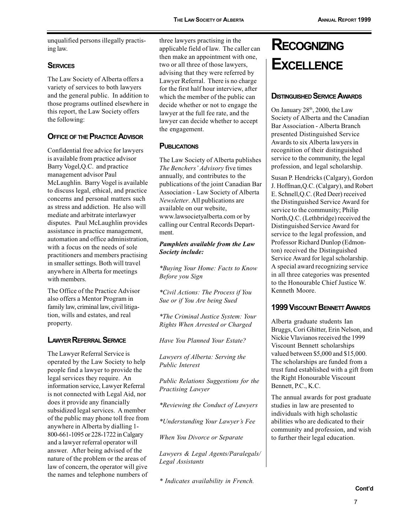unqualified persons illegally practising law.

#### **SERVICES**

The Law Society of Alberta offers a variety of services to both lawyers and the general public. In addition to those programs outlined elsewhere in this report, the Law Society offers the following:

#### **OFFICE OF THE PRACTICE ADVISOR**

Confidential free advice for lawyers is available from practice advisor Barry Vogel, Q.C. and practice management advisor Paul McLaughlin. Barry Vogel is available to discuss legal, ethical, and practice concerns and personal matters such as stress and addiction. He also will mediate and arbitrate interlawyer disputes. Paul McLaughlin provides assistance in practice management, automation and office administration. with a focus on the needs of sole practitioners and members practising in smaller settings. Both will travel anywhere in Alberta for meetings with members.

The Office of the Practice Advisor also offers a Mentor Program in family law, criminal law, civil litigation, wills and estates, and real property.

#### **LAWYER REFERRAL SERVICE**

The Lawyer Referral Service is operated by the Law Society to help people find a lawyer to provide the legal services they require. An information service, Lawyer Referral is not connected with Legal Aid, nor does it provide any financially subsidized legal services. A member of the public may phone toll free from anywhere in Alberta by dialling 1-800-661-1095 or 228-1722 in Calgary and a lawyer referral operator will answer. After being advised of the nature of the problem or the areas of law of concern, the operator will give the names and telephone numbers of

three lawyers practising in the applicable field of law. The caller can then make an appointment with one, two or all three of those lawyers, advising that they were referred by Lawyer Referral. There is no charge for the first half hour interview, after which the member of the public can decide whether or not to engage the lawyer at the full fee rate, and the lawyer can decide whether to accept the engagement.

#### **PUBLICATIONS**

The Law Society of Alberta publishes The Benchers' Advisory five times annually, and contributes to the publications of the joint Canadian Bar Association - Law Society of Alberta Newsletter. All publications are available on our website, www.lawsocietyalberta.com or by calling our Central Records Department.

#### Pamphlets available from the Law Society include:

\*Buying Your Home: Facts to Know Before you Sign

\*Civil Actions: The Process if You Sue or if You Are being Sued

\*The Criminal Justice System: Your Rights When Arrested or Charged

Have You Planned Your Estate?

Lawyers of Alberta: Serving the **Public Interest** 

Public Relations Suggestions for the Practising Lawyer

\*Reviewing the Conduct of Lawyers

\*Understanding Your Lawyer's Fee

When You Divorce or Separate

Lawyers & Legal Agents/Paralegals/ Legal Assistants

\* Indicates availability in French.

# **RECOGNIZING EXCELLENCE**

#### **DISTINGUISHED SERVICE AWARDS**

On January 28th, 2000, the Law Society of Alberta and the Canadian Bar Association - Alberta Branch presented Distinguished Service Awards to six Alberta lawyers in recognition of their distinguished service to the community, the legal profession, and legal scholarship.

Susan P. Hendricks (Calgary), Gordon J. Hoffman, O.C. (Calgary), and Robert E. Schnell, Q.C. (Red Deer) received the Distinguished Service Award for service to the community; Philip North, Q.C. (Lethbridge) received the Distinguished Service Award for service to the legal profession, and Professor Richard Dunlop (Edmonton) received the Distinguished Service Award for legal scholarship. A special award recognizing service in all three categories was presented to the Honourable Chief Instice W Kenneth Moore

#### **1999 VISCOUNT BENNETT AWARDS**

Alberta graduate students Ian Bruggs, Cori Ghitter, Erin Nelson, and Nickie Vlavianos received the 1999 Viscount Bennett scholarships valued between \$5,000 and \$15,000. The scholarships are funded from a trust fund established with a gift from the Right Honourable Viscount Bennett, P.C., K.C.

The annual awards for post graduate studies in law are presented to individuals with high scholastic abilities who are dedicated to their community and profession, and wish to further their legal education.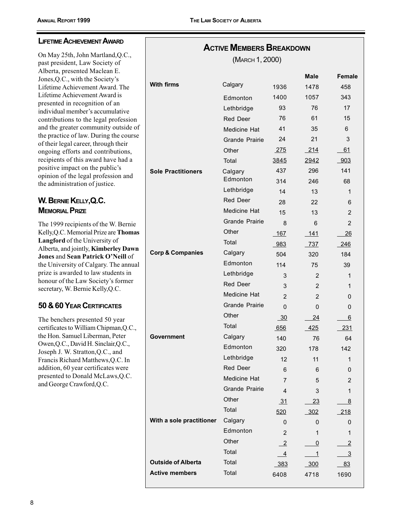On May 25th, John Martland, Q.C., past president, Law Society of Alberta, presented Maclean E. Jones, Q.C., with the Society's Lifetime Achievement Award. The Lifetime Achievement Award is presented in recognition of an individual member's accumulative contributions to the legal profession and the greater community outside of the practice of law. During the course of their legal career, through their ongoing efforts and contributions, recipients of this award have had a positive impact on the public's opinion of the legal profession and the administration of justice.

#### W. BERNIE KELLY, Q.C. **MEMORIAL PRIZE**

The 1999 recipients of the W. Bernie Kelly, Q.C. Memorial Prize are Thomas Langford of the University of Alberta, and jointly, Kimberley Dawn Jones and Sean Patrick O'Neill of the University of Calgary. The annual prize is awarded to law students in honour of the Law Society's former secretary, W. Bernie Kelly, Q.C.

#### 50 & 60 YEAR CERTIFICATES

The benchers presented 50 year certificates to William Chipman, Q.C., the Hon. Samuel Liberman, Peter Owen, Q.C., David H. Sinclair, Q.C., Joseph J. W. Stratton, Q.C., and Francis Richard Matthews, Q.C. In addition, 60 year certificates were presented to Donald McLaws, Q.C. and George Crawford, Q.C.

| <b>ACTIVE MEMBERS BREAKDOWN</b><br>(MARCH 1, 2000) |                       |                |                |                |
|----------------------------------------------------|-----------------------|----------------|----------------|----------------|
|                                                    |                       |                | Male           | Female         |
| <b>With firms</b>                                  | Calgary               | 1936           | 1478           | 458            |
|                                                    | Edmonton              | 1400           | 1057           | 343            |
|                                                    | Lethbridge            | 93             | 76             | 17             |
|                                                    | <b>Red Deer</b>       | 76             | 61             | 15             |
|                                                    | Medicine Hat          | 41             | 35             | 6              |
|                                                    | <b>Grande Prairie</b> | 24             | 21             | 3              |
|                                                    | Other                 | <u>275</u>     | 214            | 61             |
|                                                    | Total                 | 3845           | 2942           | 903            |
| <b>Sole Practitioners</b>                          | Calgary               | 437            | 296            | 141            |
|                                                    | Edmonton              | 314            | 246            | 68             |
|                                                    | Lethbridge            | 14             | 13             | 1              |
|                                                    | <b>Red Deer</b>       | 28             | 22             | 6              |
|                                                    | <b>Medicine Hat</b>   | 15             | 13             | $\overline{2}$ |
|                                                    | <b>Grande Prairie</b> | 8              | 6              | $\overline{2}$ |
|                                                    | Other                 | 167            | 141            | 26             |
|                                                    | Total                 | 983            | 737            | 246            |
| <b>Corp &amp; Companies</b>                        | Calgary               | 504            | 320            | 184            |
|                                                    | Edmonton              | 114            | 75             | 39             |
|                                                    | Lethbridge            | 3              | 2              | 1              |
|                                                    | <b>Red Deer</b>       | 3              | $\overline{2}$ | 1              |
|                                                    | Medicine Hat          | $\overline{2}$ | $\overline{2}$ | 0              |
|                                                    | <b>Grande Prairie</b> | 0              | 0              | 0              |
|                                                    | Other                 | $-30$          | 24             | 6              |
|                                                    | Total                 | 656            | 425            | 231            |
| Government                                         | Calgary               | 140            | 76             | 64             |
|                                                    | Edmonton              | 320            | 178            | 142            |
|                                                    | Lethbridge            | 12             | 11             | 1              |
|                                                    | Red Deer              | 6              | 6              | 0              |
|                                                    | Medicine Hat          | $\overline{7}$ | 5              | 2              |
|                                                    | <b>Grande Prairie</b> | 4              | 3              | 1              |
|                                                    | Other                 | 31             | 23             | 8              |
|                                                    | Total                 | 520            | $-302$         | 218            |
| With a sole practitioner                           | Calgary               | 0              | 0              | 0              |
|                                                    | Edmonton              | 2              | 1              | 1              |
|                                                    | Other                 | $\overline{2}$ | $\overline{0}$ | $\overline{2}$ |
|                                                    | Total                 | $\overline{4}$ | $\overline{1}$ | $\overline{3}$ |
| <b>Outside of Alberta</b>                          | Total                 | 383            | 300            | 83             |
| <b>Active members</b>                              | Total                 | 6408           | 4718           | 1690           |

8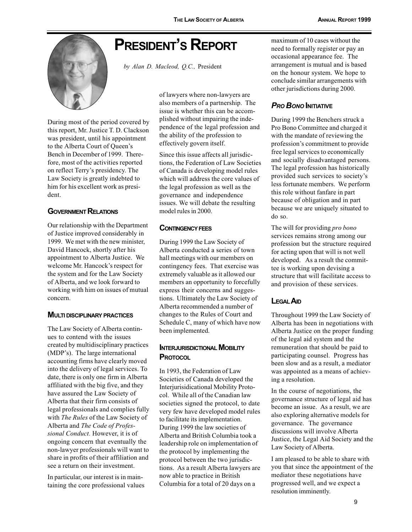### **PRESIDENT'S REPORT**



by Alan D. Macleod, Q.C., President

During most of the period covered by this report, Mr. Justice T. D. Clackson was president, until his appointment to the Alberta Court of Queen's Bench in December of 1999. Therefore, most of the activities reported on reflect Terry's presidency. The Law Society is greatly indebted to him for his excellent work as president.

#### **GOVERNMENT RELATIONS**

Our relationship with the Department of Justice improved considerably in 1999. We met with the new minister. David Hancock, shortly after his appointment to Alberta Justice. We welcome Mr. Hancock's respect for the system and for the Law Society of Alberta, and we look forward to working with him on issues of mutual concern.

#### **MULTI DISCIPLINARY PRACTICES**

The Law Society of Alberta continues to contend with the issues created by multidisciplinary practices (MDP's). The large international accounting firms have clearly moved into the delivery of legal services. To date, there is only one firm in Alberta affiliated with the big five, and they have assured the Law Society of Alberta that their firm consists of legal professionals and complies fully with The Rules of the Law Society of Alberta and The Code of Professional Conduct. However, it is of ongoing concern that eventually the non-lawyer professionals will want to share in profits of their affiliation and see a return on their investment.

In particular, our interest is in maintaining the core professional values of lawyers where non-lawyers are also members of a partnership. The issue is whether this can be accomplished without impairing the independence of the legal profession and the ability of the profession to effectively govern itself.

Since this issue affects all jurisdictions, the Federation of Law Societies of Canada is developing model rules which will address the core values of the legal profession as well as the governance and independence issues. We will debate the resulting model rules in 2000.

#### **CONTINGENCY FEES**

During 1999 the Law Society of Alberta conducted a series of town hall meetings with our members on contingency fees. That exercise was extremely valuable as it allowed our members an opportunity to forcefully express their concerns and suggestions. Ultimately the Law Society of Alberta recommended a number of changes to the Rules of Court and Schedule C, many of which have now been implemented.

#### **INTERJURISDICTIONAL MOBILITY PROTOCOL**

In 1993, the Federation of Law Societies of Canada developed the Interjurisidicational Mobility Protocol. While all of the Canadian law societies signed the protocol, to date very few have developed model rules to facilitate its implementation. During 1999 the law societies of Alberta and British Columbia took a leadership role on implementation of the protocol by implementing the protocol between the two jurisdictions. As a result Alberta lawyers are now able to practice in British Columbia for a total of 20 days on a

maximum of 10 cases without the need to formally register or pay an occasional appearance fee. The arrangement is mutual and is based on the honour system. We hope to conclude similar arrangements with other jurisdictions during 2000.

#### **PRO BONO INITIATIVE**

During 1999 the Benchers struck a Pro Bono Committee and charged it with the mandate of reviewing the profession's commitment to provide free legal services to economically and socially disadvantaged persons. The legal profession has historically provided such services to society's less fortunate members. We perform this role without fanfare in part because of obligation and in part because we are uniquely situated to do so.

The will for providing pro bono services remains strong among our profession but the structure required for acting upon that will is not well developed. As a result the committee is working upon devising a structure that will facilitate access to and provision of these services.

#### **LEGAL AID**

Throughout 1999 the Law Society of Alberta has been in negotiations with Alberta Justice on the proper funding of the legal aid system and the remuneration that should be paid to participating counsel. Progress has been slow and as a result, a mediator was appointed as a means of achieving a resolution.

In the course of negotiations, the governance structure of legal aid has become an issue. As a result, we are also exploring alternative models for governance. The governance discussions will involve Alberta Justice, the Legal Aid Society and the Law Society of Alberta.

I am pleased to be able to share with you that since the appointment of the mediator these negotiations have progressed well, and we expect a resolution imminently.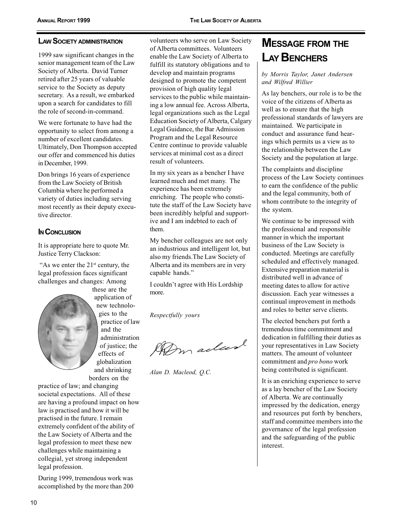#### **LAW SOCIETY ADMINISTRATION**

1999 saw significant changes in the senior management team of the Law Society of Alberta. David Turner retired after 25 years of valuable service to the Society as deputy secretary. As a result, we embarked upon a search for candidates to fill the role of second-in-command.

We were fortunate to have had the opportunity to select from among a number of excellent candidates. Ultimately, Don Thompson accepted our offer and commenced his duties in December, 1999.

Don brings 16 years of experience from the Law Society of British Columbia where he performed a variety of duties including serving most recently as their deputy executive director.

#### **IN CONCLUSION**

It is appropriate here to quote Mr. Justice Terry Clackson:

"As we enter the 21<sup>st</sup> century, the legal profession faces significant challenges and changes: Among

these are the application of new technologies to the practice of law and the administration of justice: the effects of globalization and shrinking

borders on the practice of law; and changing societal expectations. All of these are having a profound impact on how law is practised and how it will be practised in the future. I remain extremely confident of the ability of the Law Society of Alberta and the legal profession to meet these new challenges while maintaining a collegial, yet strong independent legal profession.

During 1999, tremendous work was accomplished by the more than 200 volunteers who serve on Law Society of Alberta committees. Volunteers enable the Law Society of Alberta to fulfill its statutory obligations and to develop and maintain programs designed to promote the competent provision of high quality legal services to the public while maintaining a low annual fee. Across Alberta, legal organizations such as the Legal Education Society of Alberta, Calgary Legal Guidance, the Bar Admission Program and the Legal Resource Centre continue to provide valuable services at minimal cost as a direct result of volunteers.

In my six years as a bencher I have learned much and met many. The experience has been extremely enriching. The people who constitute the staff of the Law Society have been incredibly helpful and supportive and I am indebted to each of them

My bencher colleagues are not only an industrious and intelligent lot, but also my friends. The Law Society of Alberta and its members are in very capable hands."

I couldn't agree with His Lordship more.

Respectfully yours

Don aclas

Alan D. Macleod, O.C.

### **MESSAGE FROM THE LAY BENCHERS**

#### by Morris Taylor, Janet Andersen and Wilfred Willier

As lay benchers, our role is to be the voice of the citizens of Alberta as well as to ensure that the high professional standards of lawyers are maintained. We participate in conduct and assurance fund hearings which permits us a view as to the relationship between the Law Society and the population at large.

The complaints and discipline process of the Law Society continues to earn the confidence of the public and the legal community, both of whom contribute to the integrity of the system.

We continue to be impressed with the professional and responsible manner in which the important business of the Law Society is conducted. Meetings are carefully scheduled and effectively managed. Extensive preparation material is distributed well in advance of meeting dates to allow for active discussion. Each year witnesses a continual improvement in methods and roles to better serve clients.

The elected benchers put forth a tremendous time commitment and dedication in fulfilling their duties as your representatives in Law Society matters. The amount of volunteer commitment and pro bono work being contributed is significant.

It is an enriching experience to serve as a lay bencher of the Law Society of Alberta. We are continually impressed by the dedication, energy and resources put forth by benchers, staff and committee members into the governance of the legal profession and the safeguarding of the public interest.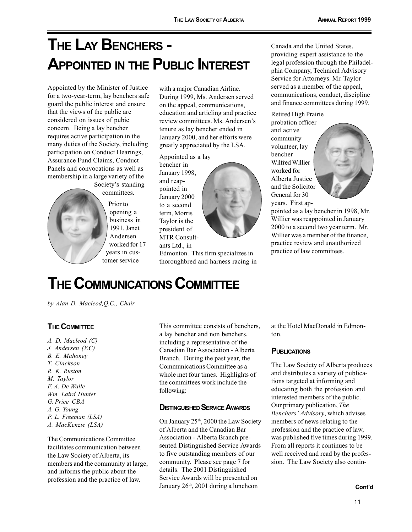# THE LAY BENCHERS -**APPOINTED IN THE PUBLIC INTEREST**

Appointed by the Minister of Justice for a two-year-term, lay benchers safe guard the public interest and ensure that the views of the public are considered on issues of pubic concern. Being a lay bencher requires active participation in the many duties of the Society, including participation on Conduct Hearings, Assurance Fund Claims, Conduct Panels and convocations as well as membership in a large variety of the Society's standing

committees.

Prior to opening a business in 1991. Janet Andersen worked for 17 vears in customer service

with a major Canadian Airline. During 1999, Ms. Andersen served on the appeal, communications, education and articling and practice review committees. Ms. Andersen's tenure as lay bencher ended in January 2000, and her efforts were greatly appreciated by the LSA.

Appointed as a lay bencher in January 1998, and reappointed in January 2000 to a second term. Morris Taylor is the president of MTR Consultants Ltd., in

Edmonton. This firm specializes in thoroughbred and harness racing in Canada and the United States. providing expert assistance to the legal profession through the Philadelphia Company, Technical Advisory Service for Attorneys. Mr. Taylor served as a member of the appeal, communications, conduct, discipline and finance committees during 1999.

Retired High Prairie

probation officer and active community volunteer, lay bencher Wilfred Willier worked for Alberta Justice and the Solicitor General for 30 years. First ap-



pointed as a lay bencher in 1998, Mr. Willier was reappointed in January 2000 to a second two year term. Mr. Willier was a member of the finance, practice review and unauthorized practice of law committees.

# **THE COMMUNICATIONS COMMITTEE**

by Alan D. Macleod, Q.C., Chair

#### **THE COMMITTEE**

 $A. D.$  Macleod  $(C)$  $J.$  Andersen  $(V.C)$ B. E. Mahonev T. Clackson  $R$ ,  $K$ ,  $R$ *uston* M. Taylor F. A. De Walle Wm. Laird Hunter G. Price CBA A. G. Young P. L. Freeman (LSA) A. MacKenzie (LSA)

The Communications Committee facilitates communication between the Law Society of Alberta, its members and the community at large, and informs the public about the profession and the practice of law.

This committee consists of benchers, a lay bencher and non benchers, including a representative of the Canadian Bar Association - Alberta Branch. During the past year, the Communications Committee as a whole met four times. Highlights of the committees work include the following:

#### **DISTINGUISHED SERVICE AWARDS**

On January 25<sup>th</sup>, 2000 the Law Society of Alberta and the Canadian Bar Association - Alberta Branch presented Distinguished Service Awards to five outstanding members of our community. Please see page 7 for details. The 2001 Distinguished Service Awards will be presented on January 26th, 2001 during a luncheon

at the Hotel MacDonald in Edmon $tan$ 

#### **PUBLICATIONS**

The Law Society of Alberta produces and distributes a variety of publications targeted at informing and educating both the profession and interested members of the public. Our primary publication, The Benchers' Advisory, which advises members of news relating to the profession and the practice of law, was published five times during 1999. From all reports it continues to be well received and read by the profession. The Law Society also contin-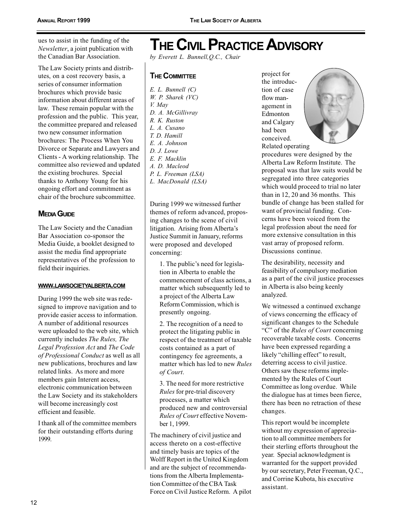ues to assist in the funding of the Newsletter, a joint publication with the Canadian Bar Association.

The Law Society prints and distributes, on a cost recovery basis, a series of consumer information brochures which provide basic information about different areas of law. These remain popular with the profession and the public. This year, the committee prepared and released two new consumer information brochures: The Process When You Divorce or Separate and Lawyers and Clients - A working relationship. The committee also reviewed and updated the existing brochures. Special thanks to Anthony Young for his ongoing effort and commitment as chair of the brochure subcommittee.

#### **MEDIA GUIDE**

The Law Society and the Canadian Bar Association co-sponsor the Media Guide, a booklet designed to assist the media find appropriate representatives of the profession to field their inquiries.

#### WWW.LAWSOCIETYALBERTA.COM

During 1999 the web site was redesigned to improve navigation and to provide easier access to information. A number of additional resources were uploaded to the web site, which currently includes The Rules, The Legal Profession Act and The Code of Professional Conduct as well as all new publications, brochures and law related links. As more and more members gain Interent access, electronic communication between the Law Society and its stakeholders will become increasingly cost efficient and feasible.

I thank all of the committee members for their outstanding efforts during 1999.

### **THE CIVIL PRACTICE ADVISORY**

by Everett L. Bunnell, O.C., Chair

#### **THE COMMITTEE**

 $E.$  L. Bunnell  $(C)$  $W.$  P. Sharek ( $VC$ ) V. May D. A. McGillivray R. K. Ruston L. A. Cusano  $T$  D Hamill E. A. Johnson D. J. Lowe E. F. Macklin A. D. Macleod P. L. Freeman (LSA) L. MacDonald (LSA)

During 1999 we witnessed further themes of reform advanced, proposing changes to the scene of civil litigation. Arising from Alberta's Justice Summit in January, reforms were proposed and developed concerning:

1. The public's need for legislation in Alberta to enable the commencement of class actions, a matter which subsequently led to a project of the Alberta Law Reform Commission, which is presently ongoing.

2. The recognition of a need to protect the litigating public in respect of the treatment of taxable costs contained as a part of contingency fee agreements, a matter which has led to new Rules of Court.

3. The need for more restrictive *Rules* for pre-trial discovery processes, a matter which produced new and controversial Rules of Court effective November 1, 1999.

The machinery of civil justice and access thereto on a cost-effective and timely basis are topics of the Wolff Report in the United Kingdom and are the subject of recommendations from the Alberta Implementation Committee of the CBA Task Force on Civil Justice Reform. A pilot

project for the introduction of case flow management in Edmonton and Calgary had been conceived.



Related operating procedures were designed by the Alberta Law Reform Institute. The proposal was that law suits would be segregated into three categories which would proceed to trial no later than in 12, 20 and 36 months. This bundle of change has been stalled for want of provincial funding. Concerns have been voiced from the legal profession about the need for more extensive consultation in this vast array of proposed reform. Discussions continue.

The desirability, necessity and feasibility of compulsory mediation as a part of the civil justice processes in Alberta is also being keenly analyzed.

We witnessed a continued exchange of views concerning the efficacy of significant changes to the Schedule "C" of the Rules of Court concerning recoverable taxable costs. Concerns have been expressed regarding a likely "chilling effect" to result, deterring access to civil justice. Others saw these reforms implemented by the Rules of Court Committee as long overdue. While the dialogue has at times been fierce, there has been no retraction of these changes.

This report would be incomplete without my expression of appreciation to all committee members for their sterling efforts throughout the year. Special acknowledgment is warranted for the support provided by our secretary, Peter Freeman, Q.C., and Corrine Kubota, his executive assistant.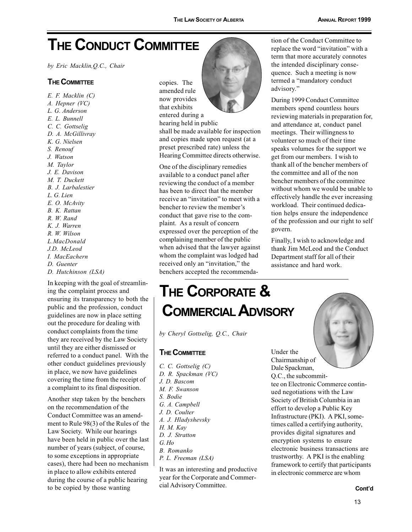# **THE CONDUCT COMMITTEE**

by Eric Macklin, Q.C., Chair

#### **THE COMMITTEE**

 $E. F. Macklin (C)$ A. Hepner (VC) L. G. Anderson E. L. Bunnell C. C. Gottselig D. A. McGillivray K. G. Nielsen S. Renouf J. Watson M. Taylor J. E. Davison M. T. Duckett B. J. Larbalestier L. G. Lien E. O. McAvity B. K. Rattan R. W. Rand K. J. Warren R. W. Wilson L.MacDonald J.D. McLeod I. MacEachern D. Guenter D. Hutchinson (LSA)

In keeping with the goal of streamlining the complaint process and ensuring its transparency to both the public and the profession, conduct guidelines are now in place setting out the procedure for dealing with conduct complaints from the time they are received by the Law Society until they are either dismissed or referred to a conduct panel. With the other conduct guidelines previously in place, we now have guidelines covering the time from the receipt of a complaint to its final disposition.

Another step taken by the benchers on the recommendation of the Conduct Committee was an amendment to Rule 98(3) of the Rules of the Law Society. While our hearings have been held in public over the last number of years (subject, of course, to some exceptions in appropriate cases), there had been no mechanism in place to allow exhibits entered during the course of a public hearing to be copied by those wanting

copies. The amended rule now provides that exhibits entered during a

hearing held in public shall be made available for inspection and copies made upon request (at a preset prescribed rate) unless the Hearing Committee directs otherwise.

One of the disciplinary remedies available to a conduct panel after reviewing the conduct of a member has been to direct that the member receive an "invitation" to meet with a bencher to review the member's conduct that gave rise to the complaint. As a result of concern expressed over the perception of the complaining member of the public when advised that the lawyer against whom the complaint was lodged had received only an "invitation," the benchers accepted the recommenda-



tion of the Conduct Committee to replace the word "invitation" with a term that more accurately connotes the intended disciplinary consequence. Such a meeting is now termed a "mandatory conduct advisory."

During 1999 Conduct Committee members spend countless hours reviewing materials in preparation for, and attendance at, conduct panel meetings. Their willingness to volunteer so much of their time speaks volumes for the support we get from our members. I wish to thank all of the bencher members of the committee and all of the non bencher members of the committee without whom we would be unable to effectively handle the ever increasing workload. Their continued dedication helps ensure the independence of the profession and our right to self govern.

Finally, I wish to acknowledge and thank Jim McLeod and the Conduct Department staff for all of their assistance and hard work.

### THE CORPORATE & **COMMERCIAL ADVISORY**

by Cheryl Gottselig, O.C., Chair

#### **THE COMMITTEE**

C. C. Gottselig (C) D. R. Spackman (VC) J. D. Bascom M. F. Swanson S. Bodie G. A. Campbell J. D. Coulter A. J. Hladyshevsky H. M. Kay D. J. Stratton  $G.$  Ho B. Romanko P. L. Freeman (LSA)

It was an interesting and productive year for the Corporate and Commercial Advisory Committee.

Under the Chairmanship of Dale Spackman, Q.C., the subcommittee on Electronic Commerce continued negotiations with the Law Society of British Columbia in an effort to develop a Public Key Infrastructure (PKI). A PKI, sometimes called a certifying authority, provides digital signatures and encryption systems to ensure electronic business transactions are trustworthy. A PKI is the enabling framework to certify that participants in electronic commerce are whom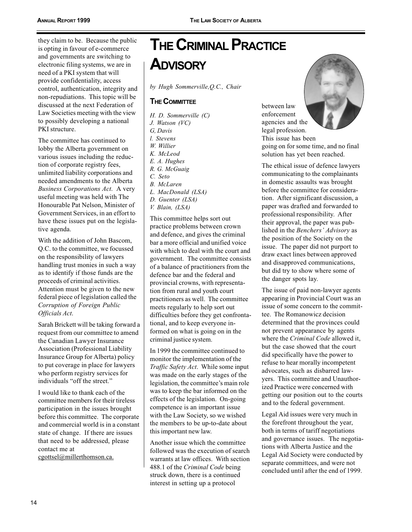they claim to be. Because the public is opting in favour of e-commerce and governments are switching to electronic filing systems, we are in need of a PKI system that will provide confidentiality, access control, authentication, integrity and non-repudiations. This topic will be discussed at the next Federation of Law Societies meeting with the view to possibly developing a national PKI structure.

The committee has continued to lobby the Alberta government on various issues including the reduction of corporate registry fees. unlimited liability corporations and needed amendments to the Alberta Business Corporations Act. A very useful meeting was held with The Honourable Pat Nelson, Minister of Government Services, in an effort to have these issues put on the legislative agenda.

With the addition of John Bascom, O.C. to the committee, we focussed on the responsibility of lawyers handling trust monies in such a way as to identify if those funds are the proceeds of criminal activities. Attention must be given to the new federal piece of legislation called the Corruption of Foreign Public Officials Act.

Sarah Brickett will be taking forward a request from our committee to amend the Canadian Lawyer Insurance **Association (Professional Liability)** Insurance Group for Alberta) policy to put coverage in place for lawyers who perform registry services for individuals "off the street."

I would like to thank each of the committee members for their tireless participation in the issues brought before this committee. The corporate and commercial world is in a constant state of change. If there are issues that need to be addressed, please contact me at cgottsel@millerthomson.ca.

**THE CRIMINAL PRACTICE ADVISORY** 

by Hugh Sommerville, O.C., Chair

#### **THE COMMITTEE**

H. D. Sommerville (C) J. Watson (VC) G. Davis l. Stevens W. Willier K. McLeod E. A. Hughes R. G. McGuaig C. Seto **B.** McLaren L. MacDonald (LSA) D. Guenter (LSA)

V. Blain, (LSA)

This committee helps sort out practice problems between crown and defence, and gives the criminal bar a more official and unified voice with which to deal with the court and government. The committee consists of a balance of practitioners from the defence bar and the federal and provincial crowns, with representation from rural and youth court practitioners as well. The committee meets regularly to help sort out difficulties before they get confrontational, and to keep everyone informed on what is going on in the criminal justice system.

In 1999 the committee continued to monitor the implementation of the *Traffic Safety Act.* While some input was made on the early stages of the legislation, the committee's main role was to keep the bar informed on the effects of the legislation. On-going competence is an important issue with the Law Society, so we wished the members to be up-to-date about this important new law.

Another issue which the committee followed was the execution of search warrants at law offices. With section 488.1 of the Criminal Code being struck down, there is a continued interest in setting up a protocol

between law enforcement agencies and the legal profession. This issue has been

going on for some time, and no final solution has yet been reached.

The ethical issue of defence lawyers communicating to the complainants in domestic assaults was brought before the committee for consideration. After significant discussion, a paper was drafted and forwarded to professional responsibility. After their approval, the paper was published in the Benchers' Advisory as the position of the Society on the issue. The paper did not purport to draw exact lines between approved and disapproved communications, but did try to show where some of the danger spots lay.

The issue of paid non-lawyer agents appearing in Provincial Court was an issue of some concern to the committee. The Romanowicz decision determined that the provinces could not prevent appearance by agents where the *Criminal Code* allowed it, but the case showed that the court did specifically have the power to refuse to hear morally incompetent advocates, such as disbarred lawvers. This committee and Unauthorized Practice were concerned with getting our position out to the courts and to the federal government.

Legal Aid issues were very much in the forefront throughout the year, both in terms of tariff negotiations and governance issues. The negotiations with Alberta Justice and the Legal Aid Society were conducted by separate committees, and were not concluded until after the end of 1999.

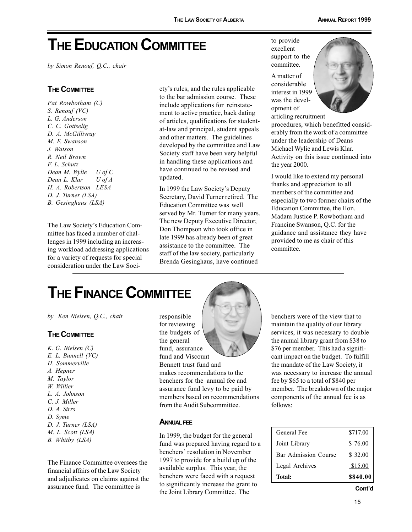# **THE EDUCATION COMMITTEE**

by Simon Renouf, Q.C., chair

#### **THE COMMITTEE**

Pat Rowbotham (C) S. Renouf (VC) L. G. Anderson C. C. Gottselig D. A. McGillivray M. F. Swanson J. Watson R. Neil Brown F. L. Schutz Dean M. Wylie  $U$  of  $C$ Dean L. Klar  $U$  of  $A$ H. A. Robertson LESA  $D. J. Turner (LSA)$ B. Gesinghaus (LSA)

The Law Society's Education Committee has faced a number of challenges in 1999 including an increasing workload addressing applications for a variety of requests for special consideration under the Law Society's rules, and the rules applicable to the bar admission course. These include applications for reinstatement to active practice, back dating of articles, qualifications for studentat-law and principal, student appeals and other matters. The guidelines developed by the committee and Law Society staff have been very helpful in handling these applications and have continued to be revised and updated.

In 1999 the Law Society's Deputy Secretary, David Turner retired. The **Education Committee was well** served by Mr. Turner for many years. The new Deputy Executive Director, Don Thompson who took office in late 1999 has already been of great assistance to the committee. The staff of the law society, particularly Brenda Gesinghaus, have continued

to provide excellent support to the committee.

A matter of considerable interest in 1999 was the development of articling recruitment



procedures, which benefitted considerably from the work of a committee under the leadership of Deans Michael Wylie and Lewis Klar. Activity on this issue continued into the year 2000.

I would like to extend my personal thanks and appreciation to all members of the committee and especially to two former chairs of the Education Committee, the Hon. Madam Justice P. Rowbotham and Francine Swanson, Q.C. for the guidance and assistance they have provided to me as chair of this committee.

### **THE FINANCE COMMITTEE**

by Ken Nielsen, Q.C., chair

#### **THE COMMITTEE**

K. G. Nielsen (C)  $E.$   $L.$  Bunnell ( $VC$ ) H. Sommerville A. Hepner M. Taylor W. Willier L. A. Johnson C. J. Miller D. A. Sirrs D. Syme D. J. Turner (LSA) M. L. Scott (LSA) B. Whitby (LSA)

The Finance Committee oversees the financial affairs of the Law Society and adjudicates on claims against the assurance fund. The committee is

responsible for reviewing the budgets of the general fund, assurance fund and Viscount

Bennett trust fund and makes recommendations to the benchers for the annual fee and assurance fund levy to be paid by members based on recommendations from the Audit Subcommittee.

#### **ANNUAL FEE**

In 1999, the budget for the general fund was prepared having regard to a benchers' resolution in November 1997 to provide for a build up of the available surplus. This year, the benchers were faced with a request to significantly increase the grant to the Joint Library Committee. The

benchers were of the view that to maintain the quality of our library services, it was necessary to double the annual library grant from \$38 to \$76 per member. This had a significant impact on the budget. To fulfill the mandate of the Law Society, it was necessary to increase the annual fee by \$65 to a total of \$840 per member. The breakdown of the major components of the annual fee is as follows:

| Total:               | \$840.00 |
|----------------------|----------|
| Legal Archives       | \$15.00  |
| Bar Admission Course | \$32.00  |
| Joint Library        | \$76.00  |
| General Fee          | \$717.00 |

15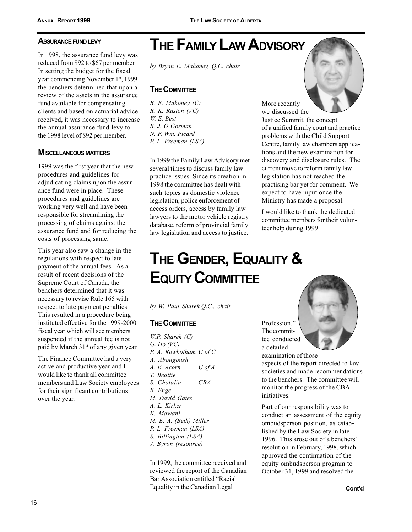#### **ASSURANCE FUND LEVY**

In 1998, the assurance fund levy was reduced from \$92 to \$67 per member. In setting the budget for the fiscal year commencing November 1<sup>st</sup>, 1999 the benchers determined that upon a review of the assets in the assurance fund available for compensating clients and based on actuarial advice received, it was necessary to increase the annual assurance fund levy to the 1998 level of \$92 per member.

#### **MISCELLANEOUS MATTERS**

1999 was the first year that the new procedures and guidelines for adjudicating claims upon the assurance fund were in place. These procedures and guidelines are working very well and have been responsible for streamlining the processing of claims against the assurance fund and for reducing the costs of processing same.

This year also saw a change in the regulations with respect to late payment of the annual fees. As a result of recent decisions of the Supreme Court of Canada, the benchers determined that it was necessary to revise Rule 165 with respect to late payment penalties. This resulted in a procedure being instituted effective for the 1999-2000 fiscal year which will see members suspended if the annual fee is not paid by March 31<sup>st</sup> of any given year.

The Finance Committee had a very active and productive year and I would like to thank all committee members and Law Society employees for their significant contributions over the year.

# **THE FAMILY LAW ADVISORY**

by Bryan E. Mahoney, Q.C. chair

#### **THE COMMITTEE**

 $B. E.$  Mahoney  $(C)$ R. K. Ruston (VC) W. E. Best R. J. O'Gorman N. F. Wm. Picard P. L. Freeman (LSA)

In 1999 the Family Law Advisory met several times to discuss family law practice issues. Since its creation in 1998 the committee has dealt with such topics as domestic violence legislation, police enforcement of access orders, access by family law lawyers to the motor vehicle registry database, reform of provincial family law legislation and access to justice.

More recently we discussed the Justice Summit, the concept of a unified family court and practice problems with the Child Support Centre, family law chambers applications and the new examination for discovery and disclosure rules. The current move to reform family law legislation has not reached the practising bar yet for comment. We expect to have input once the Ministry has made a proposal.

I would like to thank the dedicated committee members for their volunteer help during 1999.

# THE GENDER, EQUALITY & **EQUITY COMMITTEE**

by W. Paul Sharek, Q.C., chair

### **THE COMMITTEE**

 $W.P.$  Sharek  $(C)$  $G.$  Ho (VC) P. A. Rowbotham U of C A. Abougoush A. E. Acorn  $U$  of  $A$ T. Beattie  $CBA$ S. Chotalia **B.** Enge M. David Gates A. L. Kirker K. Mawani M. E. A. (Beth) Miller P. L. Freeman (LSA) S. Billington (LSA) J. Byron (resource)

In 1999, the committee received and reviewed the report of the Canadian Bar Association entitled "Racial Equality in the Canadian Legal

Profession." The committee conducted a detailed examination of those

aspects of the report directed to law societies and made recommendations to the benchers. The committee will monitor the progress of the CBA initiatives.

Part of our responsibility was to conduct an assessment of the equity ombudsperson position, as established by the Law Society in late 1996. This arose out of a benchers' resolution in February, 1998, which approved the continuation of the equity ombudsperson program to October 31, 1999 and resolved the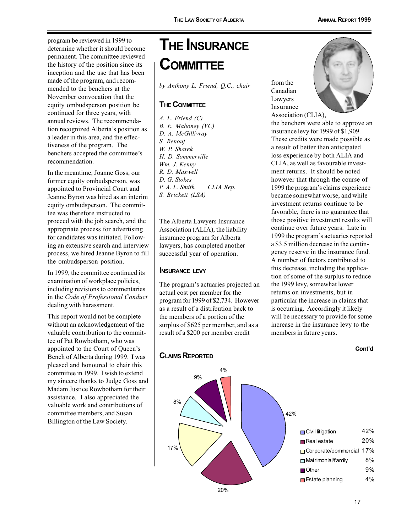program be reviewed in 1999 to determine whether it should become permanent. The committee reviewed the history of the position since its inception and the use that has been made of the program, and recommended to the benchers at the November convocation that the equity ombudsperson position be continued for three years, with annual reviews. The recommendation recognized Alberta's position as a leader in this area, and the effectiveness of the program. The benchers accepted the committee's recommendation.

In the meantime, Joanne Goss, our former equity ombudsperson, was appointed to Provincial Court and Jeanne Byron was hired as an interim equity ombudsperson. The committee was therefore instructed to proceed with the job search, and the appropriate process for advertising for candidates was initiated. Following an extensive search and interview process, we hired Jeanne Byron to fill the ombudsperson position.

In 1999, the committee continued its examination of workplace policies, including revisions to commentaries in the Code of Professional Conduct dealing with harassment.

This report would not be complete without an acknowledgement of the valuable contribution to the committee of Pat Rowbotham, who was appointed to the Court of Queen's Bench of Alberta during 1999. I was pleased and honoured to chair this committee in 1999. I wish to extend my sincere thanks to Judge Goss and Madam Justice Rowbotham for their assistance. I also appreciated the valuable work and contributions of committee members, and Susan Billington of the Law Society.

# **THE INSURANCE COMMITTEE**

by Anthony L. Friend, Q.C., chair

#### **THE COMMITTEE**

 $A.$  L. Friend  $(C)$ B. E. Mahoney (VC) D. A. McGillivray S. Renouf W. P. Sharek H. D. Sommerville Wm. J. Kenny R. D. Maxwell D. G. Stokes P. A. L. Smith CLIA Rep. S. Brickett (LSA)

The Alberta Lawyers Insurance Association (ALIA), the liability insurance program for Alberta lawyers, has completed another successful year of operation.

#### **INSURANCE LEVY**

The program's actuaries projected an actual cost per member for the program for 1999 of \$2,734. However as a result of a distribution back to the members of a portion of the surplus of \$625 per member, and as a result of a \$200 per member credit

from the Canadian Lawyers Insurance Association (CLIA),



the benchers were able to approve an insurance levy for 1999 of \$1,909. These credits were made possible as a result of better than anticipated loss experience by both ALIA and CLIA, as well as favourable investment returns. It should be noted however that through the course of 1999 the program's claims experience became somewhat worse, and while investment returns continue to be favorable, there is no guarantee that those positive investment results will continue over future years. Late in 1999 the program's actuaries reported a \$3.5 million decrease in the contingency reserve in the insurance fund. A number of factors contributed to this decrease, including the application of some of the surplus to reduce the 1999 levy, somewhat lower returns on investments, but in particular the increase in claims that is occurring. Accordingly it likely will be necessary to provide for some increase in the insurance levy to the members in future years.

#### Cont'd

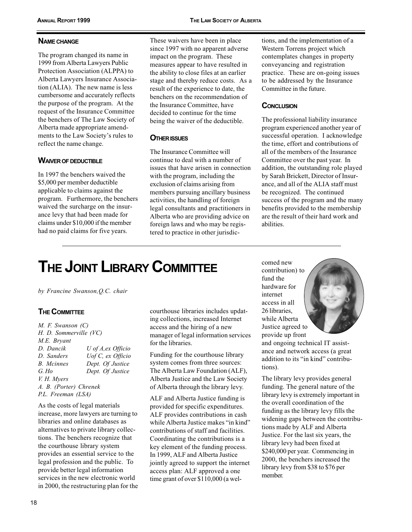#### **NAME CHANGE**

The program changed its name in 1999 from Alberta Lawyers Public Protection Association (ALPPA) to Alberta Lawyers Insurance Association (ALIA). The new name is less cumbersome and accurately reflects the purpose of the program. At the request of the Insurance Committee the benchers of The Law Society of Alberta made appropriate amendments to the Law Society's rules to reflect the name change.

#### **WAIVER OF DEDUCTIBLE**

In 1997 the benchers waived the \$5,000 per member deductible applicable to claims against the program. Furthermore, the benchers waived the surcharge on the insurance levy that had been made for claims under \$10,000 if the member had no paid claims for five years.

These waivers have been in place since 1997 with no apparent adverse impact on the program. These measures appear to have resulted in the ability to close files at an earlier stage and thereby reduce costs. As a result of the experience to date, the benchers on the recommendation of the Insurance Committee, have decided to continue for the time being the waiver of the deductible.

#### **OTHER ISSUES**

The Insurance Committee will continue to deal with a number of issues that have arisen in connection with the program, including the exclusion of claims arising from members pursuing ancillary business activities, the handling of foreign legal consultants and practitioners in Alberta who are providing advice on foreign laws and who may be registered to practice in other jurisdic-

tions, and the implementation of a Western Torrens project which contemplates changes in property conveyancing and registration practice. These are on-going issues to be addressed by the Insurance Committee in the future.

#### **CONCLUSION**

The professional liability insurance program experienced another year of successful operation. I acknowledge the time, effort and contributions of all of the members of the Insurance Committee over the past year. In addition, the outstanding role played by Sarah Brickett, Director of Insurance, and all of the ALIA staff must be recognized. The continued success of the program and the many benefits provided to the membership are the result of their hard work and abilities.

# **THE JOINT LIBRARY COMMITTEE**

by Francine Swanson, Q.C. chair

#### **THE COMMITTEE**

M. F. Swanson (C) H. D. Sommerville (VC) M.E. Brvant D. Dancik U of A, ex Officio D. Sanders Uof C, ex Officio **B.** Mcinnes Dept. Of Justice  $G$ . Ho Dept. Of Justice V. H. Mvers A. B. (Porter) Chrenek P.L. Freeman (LSA)

As the costs of legal materials increase, more lawyers are turning to libraries and online databases as alternatives to private library collections. The benchers recognize that the courthouse library system provides an essential service to the legal profession and the public. To provide better legal information services in the new electronic world in 2000, the restructuring plan for the courthouse libraries includes updating collections, increased Internet access and the hiring of a new manager of legal information services for the libraries.

Funding for the courthouse library system comes from three sources: The Alberta Law Foundation (ALF). Alberta Justice and the Law Society of Alberta through the library levy.

ALF and Alberta Justice funding is provided for specific expenditures. ALF provides contributions in cash while Alberta Justice makes "in kind" contributions of staff and facilities. Coordinating the contributions is a key element of the funding process. In 1999, ALF and Alberta Justice jointly agreed to support the internet access plan: ALF approved a one time grant of over \$110,000 (a wel-

comed new contribution) to fund the hardware for internet access in all 26 libraries. while Alberta Justice agreed to provide up front



and ongoing technical IT assistance and network access (a great addition to its "in kind" contributions).

The library levy provides general funding. The general nature of the library levy is extremely important in the overall coordination of the funding as the library levy fills the widening gaps between the contributions made by ALF and Alberta Justice. For the last six years, the library levy had been fixed at \$240,000 per year. Commencing in 2000, the benchers increased the library levy from \$38 to \$76 per member.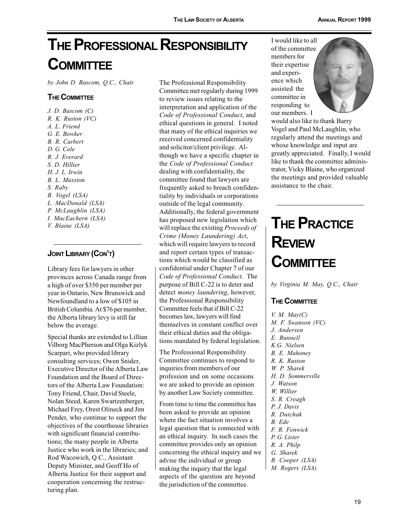# THE PROFESSIONAL RESPONSIBILITY **COMMITTEE**

by John D. Bascom, Q.C., Chair

#### **THE COMMITTEE**

 $J.$  D. Bascom  $(C)$  $R. K.$  Ruston (VC) A. L. Friend G. E. Bowker B. R. Carbert D. G. Cole R. J. Everard S. D. Hillier  $H. J. L. Irwin$ B. L. Maxston S. Raby B. Vogel (LSA) L. MacDonald (LSA) P. McLaughlin (LSA) I. MacEachern (LSA) V. Blaine (LSA)

#### **JOINT LIBRARY (CON'T)**

Library fees for lawyers in other provinces across Canada range from a high of over \$350 per member per vear in Ontario. New Brunswick and Newfoundland to a low of \$105 in British Columbia. At \$76 per member, the Alberta library levy is still far below the average.

Special thanks are extended to Lillian Vilborg MacPherson and Olga Kizlyk Scarpari, who provided library consulting services; Owen Snider, Executive Director of the Alberta Law Foundation and the Board of Directors of the Alberta Law Foundation: Tony Friend, Chair, David Steele, Nolan Steed, Karen Swartzenberger, Michael Frey, Orest Olineck and Jim Pender, who continue to support the objectives of the courthouse libraries with significant financial contributions; the many people in Alberta Justice who work in the libraries; and Rod Wacowich, Q.C., Assistant Deputy Minister, and Geoff Ho of Alberta Justice for their support and cooperation concerning the restructuring plan.

The Professional Responsibility Committee met regularly during 1999 to review issues relating to the interpretation and application of the Code of Professional Conduct, and ethical questions in general. I noted that many of the ethical inquiries we received concerned confidentiality and solicitor/client privilege. Although we have a specific chapter in the Code of Professional Conduct dealing with confidentiality, the committee found that lawyers are frequently asked to breach confidentiality by individuals or corporations outside of the legal community. Additionally, the federal government has proposed new legislation which will replace the existing Proceeds of Crime (Money Laundering) Act, which will require lawyers to record and report certain types of transactions which would be classified as confidential under Chapter 7 of our Code of Professional Conduct. The purpose of Bill C-22 is to deter and detect *money laundering*, however, the Professional Responsibility Committee feels that if Bill C-22 becomes law, lawyers will find themselves in constant conflict over their ethical duties and the obligations mandated by federal legislation.

The Professional Responsibility Committee continues to respond to inquiries from members of our profession and on some occasions we are asked to provide an opinion by another Law Society committee.

From time to time the committee has been asked to provide an opinion where the fact situation involves a legal question that is connected with an ethical inquiry. In such cases the committee provides only an opinion concerning the ethical inquiry and we advise the individual or group making the inquiry that the legal aspects of the question are beyond the jurisdiction of the committee.

I would like to all of the committee members for their expertise and experience which assisted the committee in responding to our members. I



would also like to thank Barry Vogel and Paul McLaughlin, who regularly attend the meetings and whose knowledge and input are greatly appreciated. Finally, I would like to thank the committee administrator, Vicky Blaine, who organized the meetings and provided valuable assistance to the chair.

# **THE PRACTICE REVIEW COMMITTEE**

by Virginia M. May, Q.C., Chair

#### **THE COMMITTEE**

 $V. M.$  May(C) M. F. Swanson (VC) J. Andersen E. Bunnell K.G. Nielsen B. E. Mahoney R. K. Ruston W. P. Sharek H. D. Sommerville J. Watson W. Willier S. R. Creagh P. J. Davis R. Dutchak B. Ede F. R. Fenwick P. G. Lister R. A. Philp G. Sharek B. Cooper (LSA) M. Rogers (LSA)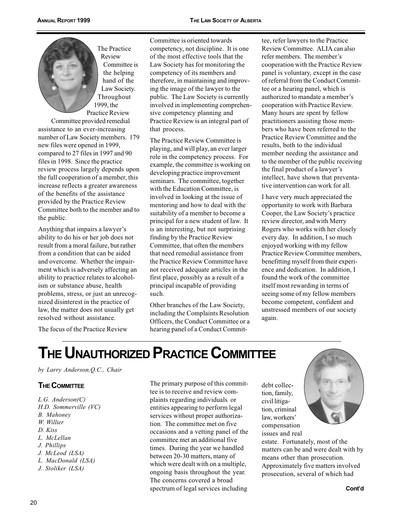The Practice Review Committee is the helping hand of the Law Society. Throughout 1999, the Practice Review

Committee provided remedial assistance to an ever-increasing number of Law Society members. 179 new files were opened in 1999, compared to 27 files in 1997 and 90 files in 1998. Since the practice review process largely depends upon the full cooperation of a member, this increase reflects a greater awareness of the benefits of the assistance provided by the Practice Review Committee both to the member and to the public.

Anything that impairs a lawyer's ability to do his or her job does not result from a moral failure, but rather from a condition that can be aided and overcome. Whether the impairment which is adversely affecting an ability to practice relates to alcoholism or substance abuse, health problems, stress, or just an unrecognized disinterest in the practice of law, the matter does not usually get resolved without assistance.

The focus of the Practice Review

Committee is oriented towards competency, not discipline. It is one of the most effective tools that the Law Society has for monitoring the competency of its members and therefore, in maintaining and improving the image of the lawyer to the public. The Law Society is currently involved in implementing comprehensive competency planning and Practice Review is an integral part of that process.

The Practice Review Committee is playing, and will play, an ever larger role in the competency process. For example, the committee is working on developing practice improvement seminars. The committee, together with the Education Committee, is involved in looking at the issue of mentoring and how to deal with the suitability of a member to become a principal for a new student of law. It is an interesting, but not surprising finding by the Practice Review Committee, that often the members that need remedial assistance from the Practice Review Committee have not received adequate articles in the first place, possibly as a result of a principal incapable of providing such.

Other branches of the Law Society, including the Complaints Resolution Officers, the Conduct Committee or a hearing panel of a Conduct Commit-

tee, refer lawyers to the Practice Review Committee. ALIA can also refer members. The member's cooperation with the Practice Review panel is voluntary, except in the case of referral from the Conduct Committee or a hearing panel, which is authorized to mandate a member's cooperation with Practice Review. Many hours are spent by fellow practitioners assisting those members who have been referred to the Practice Review Committee and the results, both to the individual member needing the assistance and to the member of the public receiving the final product of a lawyer's intellect, have shown that preventative intervention can work for all.

I have very much appreciated the opportunity to work with Barbara Cooper, the Law Society's practice review director, and with Merry Rogers who works with her closely every day. In addition, I so much enjoyed working with my fellow Practice Review Committee members, benefitting myself from their experience and dedication. In addition, I found the work of the committee itself most rewarding in terms of seeing some of my fellow members become competent, confident and unstressed members of our society again.

# THE UNAUTHORIZED PRACTICE COMMITTEE

by Larry Anderson, Q.C., Chair

#### **THE COMMITTEE**

 $L.G.$  Anderson( $C$ ) H.D. Sommerville (VC) **B.** Mahonev W. Willier D. Kiss L. McLellan J. Phillips J. McLeod (LSA) L. MacDonald (LSA) J. Stoliker (LSA)

The primary purpose of this committee is to receive and review complaints regarding individuals or entities appearing to perform legal services without proper authorization. The committee met on five occasions and a vetting panel of the committee met an additional five times. During the year we handled between 20-30 matters, many of which were dealt with on a multiple, ongoing basis throughout the year. The concerns covered a broad spectrum of legal services including

debt collection, family, civil litigation, criminal law, workers' compensation issues and real



estate. Fortunately, most of the matters can be and were dealt with by means other than prosecution. Approximately five matters involved prosecution, several of which had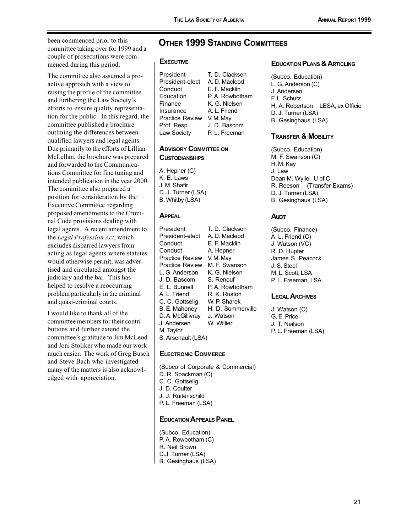been commenced prior to this committee taking over for 1999 and a couple of prosecutions were commenced during this period.

The committee also assumed a proactive approach with a view to raising the profile of the committee and furthering the Law Society's efforts to ensure quality representation for the public. In this regard, the committee published a brochure outlining the differences between qualified lawyers and legal agents. Due primarily to the efforts of Lillian McLellan, the brochure was prepared and forwarded to the Communications Committee for fine tuning and intended publication in the year 2000. The committee also prepared a position for consideration by the **Executive Committee regarding** proposed amendments to the Criminal Code provisions dealing with legal agents. A recent amendment to the Legal Profession Act, which excludes disbarred lawyers from acting as legal agents where statutes would otherwise permit, was advertised and circulated amongst the judiciary and the bar. This has helped to resolve a reoccurring problem particularly in the criminal and quasi-criminal courts.

I would like to thank all of the committee members for their contributions and further extend the committee's gratitude to Jim McLeod and Joni Stoliker who made our work much easier. The work of Greg Busch and Steve Bach who investigated many of the matters is also acknowledged with appreciation.

### **OTHER 1999 STANDING COMMITTEES**

#### **EXECUTIVE**

President T. D. Clackson A. D. Macleod President-elect E. F. Macklin Conduct Education P. A. Rowbotham Finance K. G. Nielsen Insurance A. L. Friend Practice Review V.M.May Prof. Resp. J. D. Bascom Law Society P. L. Freeman

#### **ADVISORY COMMITTEE ON CUSTODIANSHIPS**

A. Hepner (C) K. E. Laws J. M. Shafir D. J. Turner (LSA) B. Whitby (LSA)

#### **APPEAL**

President T. D. Clackson President-elect A. D. Macleod E. F. Macklin Conduct Conduct A. Hepner Practice Review V.M.May M. F. Swanson **Practice Review** L. G. Anderson K. G. Nielsen J. D. Bascom S. Renouf E. L. Bunnell P. A. Rowbotham A. L. Friend R. K. Ruston C. C. Gottselig W. P. Sharek B. E. Mahonev H. D. Sommerville D. A. McGillivrav J Watson J. Andersen W. Willier M. Tavlor S. Arsenault (LSA)

#### **ELECTRONIC COMMERCE**

(Subco of Corporate & Commercial) D. R. Spackman (C) C. C. Gottselig J. D. Coulter J. J. Ruitenschild P. L. Freeman (LSA)

#### **EDUCATION APPEALS PANEL**

(Subco. Education) P. A. Rowbotham (C) R. Neil Brown D.J. Turner (LSA) B. Gesinghaus (LSA)

#### **EDUCATION PLANS & ARTICLING**

(Subco. Education) L. G. Anderson (C) J. Andersen F. L. Schutz H. A. Robertson LESA, ex Officio D. J. Turner (LSA) B. Gesinghaus (LSA)

#### **TRANSFER & MOBILITY**

(Subco, Education) M. F. Swanson (C) H. M. Kay J. Law Dean M. Wylie U of C R. Reeson (Transfer Exams) D. J. Turner (LSA) B. Gesinghaus (LSA)

#### **AUDIT**

(Subco. Finance) A. L. Friend (C) J. Watson (VC) R. D. Hupfer James S. Peacock J. S. Steel M. L. Scott, LSA P. L. Freeman, LSA

#### **LEGAL ARCHIVES**

J. Watson (C) G. E. Price J. T. Neilson P. L. Freeman (LSA)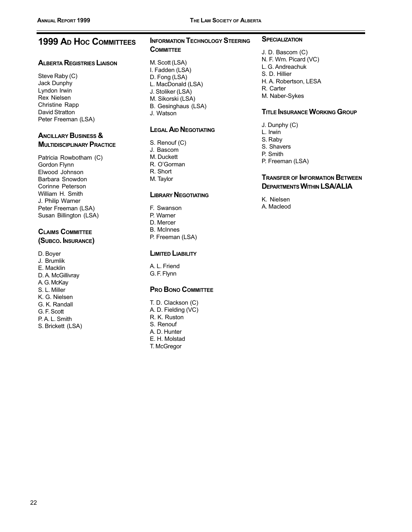### **1999 AD HOC COMMITTEES**

#### **ALBERTA REGISTRIES LIAISON**

Steve Raby (C) Jack Dunphy Lyndon Irwin **Rex Nielsen** Christine Rapp David Stratton Peter Freeman (LSA)

#### **ANCILLARY BUSINESS & MULTIDISCIPLINARY PRACTICE**

Patricia Rowbotham (C) Gordon Flynn Elwood Johnson Barbara Snowdon Corinne Peterson William H. Smith J. Philip Warner Peter Freeman (LSA) Susan Billington (LSA)

### **CLAIMS COMMITTEE**

(SUBCO. INSURANCE)

D. Boyer J. Brumlik E. Macklin D. A. McGillivrav A. G. McKay S. L. Miller K. G. Nielsen G K Randall G. F. Scott P.A.L. Smith S. Brickett (LSA)

### **INFORMATION TECHNOLOGY STEERING COMMITTEE**

M. Scott (LSA) I. Fadden (LSA) D. Fong (LSA) L. MacDonald (LSA) J. Stoliker (LSA) M. Sikorski (LSA) B. Gesinghaus (LSA) J. Watson

#### **LEGAL AID NEGOTIATING**

S. Renouf (C) J. Bascom M. Duckett R. O'Gorman R. Short M. Taylor

#### **LIBRARY NEGOTIATING**

F. Swanson P. Warner D. Mercer **B** McInnes P. Freeman (LSA)

#### **LIMITED LIABILITY**

A. L. Friend G. F. Flynn

#### **PRO BONO COMMITTEE**

T. D. Clackson (C) A. D. Fielding (VC) R. K. Ruston S. Renouf A. D. Hunter E. H. Molstad T. McGregor

#### **SPECIALIZATION**

J. D. Bascom (C) N. F. Wm. Picard (VC) L. G. Andreachuk S. D. Hillier H. A. Robertson, LESA R. Carter M. Naber-Sykes

#### **TITLE INSURANCE WORKING GROUP**

J. Dunphy (C) L. Irwin S. Raby S. Shavers P. Smith P. Freeman (LSA)

#### **TRANSFER OF INFORMATION BETWEEN DEPARTMENTS WITHIN LSA/ALIA**

K. Nielsen A. Macleod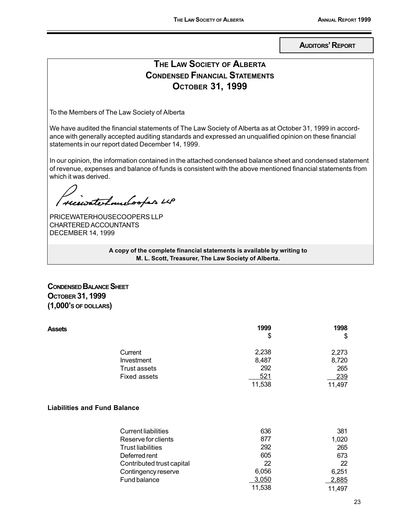**AUDITORS' REPORT** 

### THE LAW SOCIETY OF ALBERTA **CONDENSED FINANCIAL STATEMENTS** Остовек 31, 1999

To the Members of The Law Society of Alberta

We have audited the financial statements of The Law Society of Alberta as at October 31, 1999 in accordance with generally accepted auditing standards and expressed an unqualified opinion on these financial statements in our report dated December 14, 1999.

In our opinion, the information contained in the attached condensed balance sheet and condensed statement of revenue, expenses and balance of funds is consistent with the above mentioned financial statements from which it was derived.

receivate Louelooper us

PRICEWATERHOUSECOOPERS LLP CHARTERED ACCOUNTANTS **DECEMBER 14, 1999** 

> A copy of the complete financial statements is available by writing to M. L. Scott, Treasurer, The Law Society of Alberta.

#### **CONDENSED BALANCE SHEET** Остовек 31, 1999  $(1,000)$ 's of DOLLARS)

| <b>Assets</b>                       | 1999   | 1998   |
|-------------------------------------|--------|--------|
|                                     | \$     | \$     |
| Current                             | 2,238  | 2,273  |
| Investment                          | 8,487  | 8,720  |
| <b>Trust assets</b>                 | 292    | 265    |
| <b>Fixed assets</b>                 | 521    | 239    |
|                                     | 11,538 | 11,497 |
| <b>Liabilities and Fund Balance</b> |        |        |
| <b>Current liabilities</b>          | 636    | 381    |
| Reserve for clients                 | 877    | 1,020  |
| <b>Trust liabilities</b>            | 292    | 265    |
| Deferred rent                       | 605    | 673    |
| Contributed trust capital           | 22     | 22     |
| Contingency reserve                 | 6,056  | 6,251  |
| Fund balance                        | 3,050  | 2,885  |
|                                     | 11,538 | 11,497 |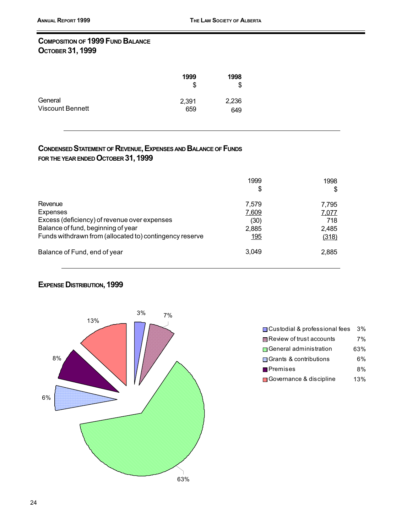#### **COMPOSITION OF 1999 FUND BALANCE** Остовек 31, 1999

|                  | 1999<br>S | 1998<br>S |
|------------------|-----------|-----------|
| General          | 2,391     | 2,236     |
| Viscount Bennett | 659       | 649       |

#### CONDENSED STATEMENT OF REVENUE, EXPENSES AND BALANCE OF FUNDS FOR THE YEAR ENDED OCTOBER 31, 1999

|                                                         | 1999<br>\$ | 1998<br>S |
|---------------------------------------------------------|------------|-----------|
| Revenue                                                 | 7.579      | 7.795     |
| <b>Expenses</b>                                         | 7,609      | 7,077     |
| Excess (deficiency) of revenue over expenses            | (30)       | 718       |
| Balance of fund, beginning of year                      | 2,885      | 2,485     |
| Funds withdrawn from (allocated to) contingency reserve | 195        | (318)     |
| Balance of Fund, end of year                            | 3.049      | 2,885     |

#### **EXPENSE DISTRIBUTION, 1999**



| □ Custodial & professional fees | 3%  |
|---------------------------------|-----|
| ■ Review of trust accounts      | 7%  |
| Seneral administration          | 63% |
| Grants & contributions          | 6%  |
| <b>Premises</b>                 | 8%  |
| Governance & discipline         | 13% |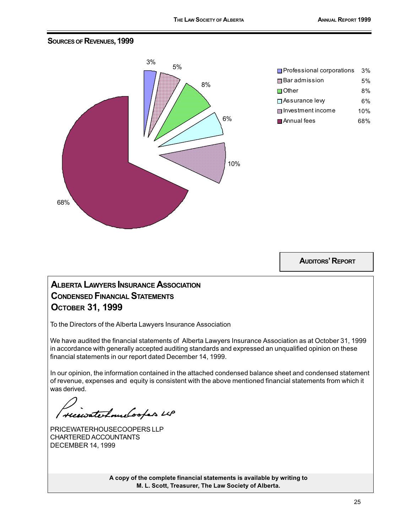#### **SOURCES OF REVENUES, 1999**



| Professional corporations | 3%  |
|---------------------------|-----|
| 田 Bar admission           | 5%  |
| <b>■</b> Other            | 8%  |
| □ Assurance levy          | 6%  |
| ■ Investment income       | 10% |
| Annual fees               | 68% |

**AUDITORS' REPORT** 

### **ALBERTA LAWYERS INSURANCE ASSOCIATION CONDENSED FINANCIAL STATEMENTS** Остовек 31, 1999

To the Directors of the Alberta Lawyers Insurance Association

We have audited the financial statements of Alberta Lawyers Insurance Association as at October 31, 1999 in accordance with generally accepted auditing standards and expressed an unqualified opinion on these financial statements in our report dated December 14, 1999.

In our opinion, the information contained in the attached condensed balance sheet and condensed statement of revenue, expenses and equity is consistent with the above mentioned financial statements from which it was derived.

receivate Louelooper us

PRICEWATERHOUSECOOPERS LLP CHARTERED ACCOUNTANTS **DECEMBER 14, 1999** 

A copy of the complete financial statements is available by writing to M. L. Scott, Treasurer, The Law Society of Alberta.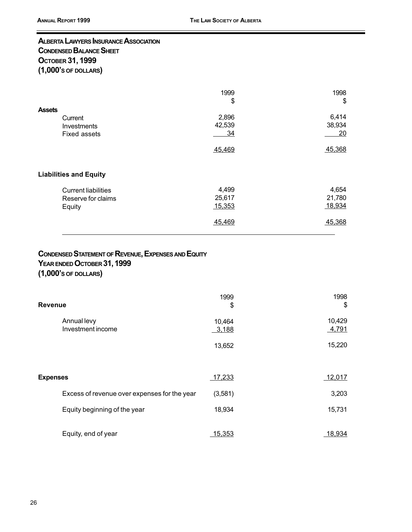### ALBERTA LAWYERS INSURANCE ASSOCIATION **CONDENSED BALANCE SHEET** Остовек 31, 1999  $(1,000$ 's of DOLLARS)

| <b>Assets</b>                                              | 1999<br>\$                | 1998<br>\$                |
|------------------------------------------------------------|---------------------------|---------------------------|
| Current<br>Investments<br><b>Fixed assets</b>              | 2,896<br>42,539<br>34     | 6,414<br>38,934<br>20     |
|                                                            | 45,469                    | 45,368                    |
| <b>Liabilities and Equity</b>                              |                           |                           |
| <b>Current liabilities</b><br>Reserve for claims<br>Equity | 4,499<br>25,617<br>15,353 | 4,654<br>21,780<br>18,934 |
|                                                            | 45,469                    | 45,368                    |

### **CONDENSED STATEMENT OF REVENUE, EXPENSES AND EQUITY** YEAR ENDED OCTOBER 31, 1999

 $(1,000)$ 's of DOLLARS)

| Revenue                                      | 1999<br>\$      | 1998<br>\$      |
|----------------------------------------------|-----------------|-----------------|
| Annual levy<br>Investment income             | 10,464<br>3,188 | 10,429<br>4,791 |
|                                              | 13,652          | 15,220          |
| <b>Expenses</b>                              | 17,233          | 12,017          |
| Excess of revenue over expenses for the year | (3,581)         | 3,203           |
| Equity beginning of the year                 | 18,934          | 15,731          |
| Equity, end of year                          | 15,353          | 18,934          |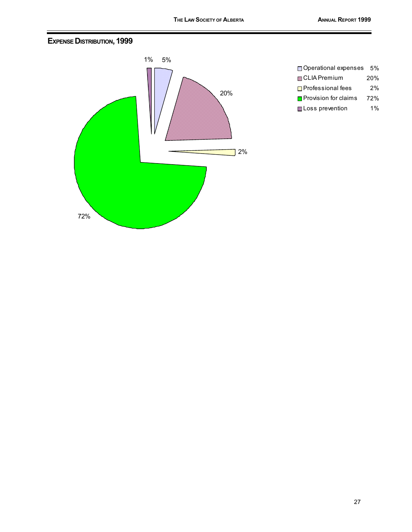#### **EXPENSE DISTRIBUTION, 1999**



| Operational expenses          | 5%  |
|-------------------------------|-----|
| <b>國CLIA Premium</b>          | 20% |
| □ Professional fees           | 2%  |
| <b>□</b> Provision for claims | 72% |
| <b>III</b> Loss prevention    | 1%  |